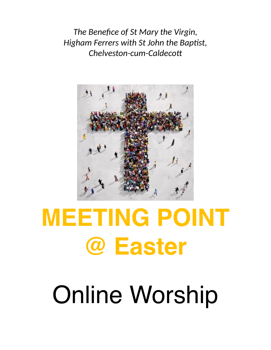*The Benefice of St Mary the Virgin, Higham Ferrers with St John the Baptist, Chelveston-cum-Caldecott*



# **MEETING POINT @ Easter**

# Online Worship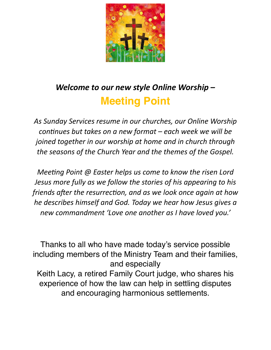

# *Welcome to our new style Online Worship –*  **Meeting Point**

*As Sunday Services resume in our churches, our Online Worship continues but takes on a new format – each week we will be joined together in our worship at home and in church through the seasons of the Church Year and the themes of the Gospel.*

*Meeting Point @ Easter helps us come to know the risen Lord Jesus more fully as we follow the stories of his appearing to his friends after the resurrection, and as we look once again at how he describes himself and God. Today we hear how Jesus gives a new commandment 'Love one another as I have loved you.'*

Thanks to all who have made today's service possible including members of the Ministry Team and their families, and especially Keith Lacy, a retired Family Court judge, who shares his experience of how the law can help in settling disputes and encouraging harmonious settlements.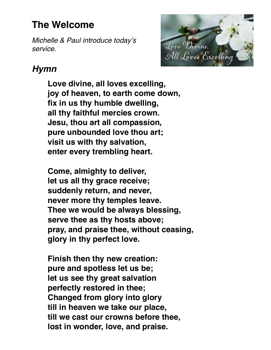## **The Welcome**

*Michelle & Paul introduce today's service.*



## *Hymn*

**Love divine, all loves excelling, joy of heaven, to earth come down, fix in us thy humble dwelling, all thy faithful mercies crown. Jesu, thou art all compassion, pure unbounded love thou art; visit us with thy salvation, enter every trembling heart.** 

**Come, almighty to deliver, let us all thy grace receive; suddenly return, and never, never more thy temples leave. Thee we would be always blessing, serve thee as thy hosts above; pray, and praise thee, without ceasing, glory in thy perfect love.** 

**Finish then thy new creation: pure and spotless let us be; let us see thy great salvation perfectly restored in thee; Changed from glory into glory till in heaven we take our place, till we cast our crowns before thee, lost in wonder, love, and praise.**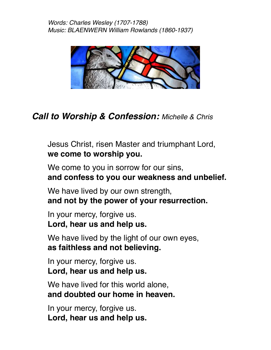

## *Call to Worship & Confession: Michelle & Chris*

Jesus Christ, risen Master and triumphant Lord, **we come to worship you.** 

We come to you in sorrow for our sins, **and confess to you our weakness and unbelief.**

We have lived by our own strength, **and not by the power of your resurrection.** 

In your mercy, forgive us. **Lord, hear us and help us.** 

We have lived by the light of our own eyes, **as faithless and not believing.** 

In your mercy, forgive us. **Lord, hear us and help us.** 

We have lived for this world alone, **and doubted our home in heaven.** 

In your mercy, forgive us. **Lord, hear us and help us.**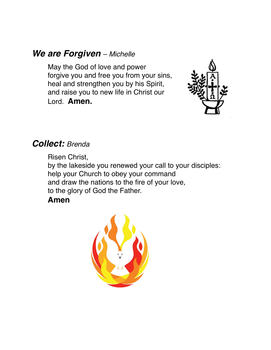#### *We are Forgiven – Michelle*

May the God of love and power forgive you and free you from your sins, heal and strengthen you by his Spirit, and raise you to new life in Christ our Lord. **Amen.** 



#### *Collect: Brenda*

Risen Christ, by the lakeside you renewed your call to your disciples: help your Church to obey your command and draw the nations to the fire of your love, to the glory of God the Father.

#### **Amen**

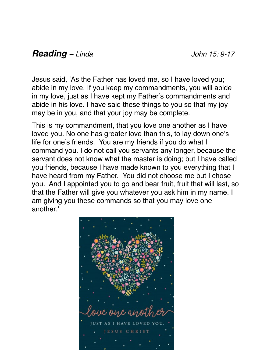### *Reading – Linda John 15: 9-17*

Jesus said, 'As the Father has loved me, so I have loved you; abide in my love. If you keep my commandments, you will abide in my love, just as I have kept my Father's commandments and abide in his love. I have said these things to you so that my joy may be in you, and that your joy may be complete.

This is my commandment, that you love one another as I have loved you. No one has greater love than this, to lay down one's life for one's friends. You are my friends if you do what I command you. I do not call you servants any longer, because the servant does not know what the master is doing; but I have called you friends, because I have made known to you everything that I have heard from my Father. You did not choose me but I chose you. And I appointed you to go and bear fruit, fruit that will last, so that the Father will give you whatever you ask him in my name. I am giving you these commands so that you may love one another.'

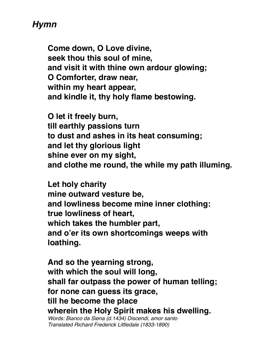## *Hymn*

**Come down, O Love divine, seek thou this soul of mine, and visit it with thine own ardour glowing; O Comforter, draw near, within my heart appear, and kindle it, thy holy flame bestowing.** 

**O let it freely burn, till earthly passions turn to dust and ashes in its heat consuming; and let thy glorious light shine ever on my sight, and clothe me round, the while my path illuming.** 

**Let holy charity mine outward vesture be, and lowliness become mine inner clothing: true lowliness of heart, which takes the humbler part, and o'er its own shortcomings weeps with loathing.** 

**And so the yearning strong, with which the soul will long, shall far outpass the power of human telling; for none can guess its grace, till he become the place wherein the Holy Spirit makes his dwelling.** 

*Words: Bianco da Siena (d.1434) Discendi, amor santo Translated Richard Frederick Littledale (1833-1890)*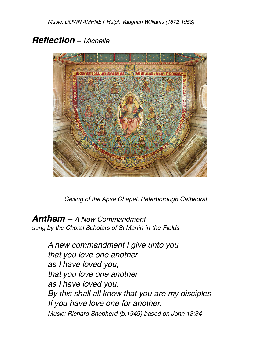### *Reflection – Michelle*



*Ceiling of the Apse Chapel, Peterborough Cathedral* 

*Anthem – A New Commandment sung by the Choral Scholars of St Martin-in-the-Fields* 

> *A new commandment I give unto you that you love one another as I have loved you, that you love one another as I have loved you. By this shall all know that you are my disciples If you have love one for another. Music: Richard Shepherd (b.1949) based on John 13:34*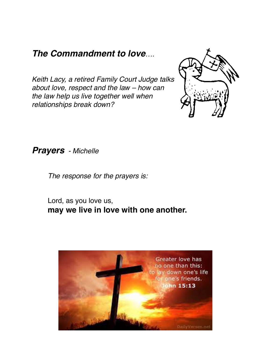#### *The Commandment to love….*

*Keith Lacy, a retired Family Court Judge talks about love, respect and the law – how can the law help us live together well when relationships break down?* 



*Prayers - Michelle*

*The response for the prayers is:* 

Lord, as you love us, **may we live in love with one another.** 

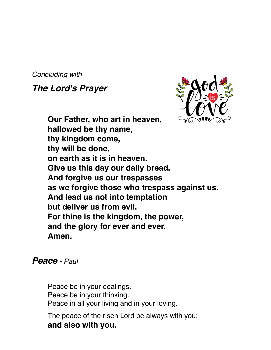*Concluding with* 

*The Lord's Prayer*



**Our Father, who art in heaven, hallowed be thy name, thy kingdom come, thy will be done, on earth as it is in heaven. Give us this day our daily bread. And forgive us our trespasses as we forgive those who trespass against us. And lead us not into temptation but deliver us from evil. For thine is the kingdom, the power, and the glory for ever and ever. Amen.** 

#### *Peace - Paul*

Peace be in your dealings. Peace be in your thinking. Peace in all your living and in your loving.

The peace of the risen Lord be always with you; **and also with you.**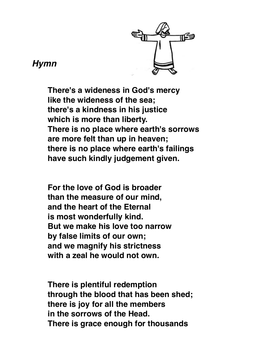

#### *Hymn*

**There's a wideness in God's mercy like the wideness of the sea; there's a kindness in his justice which is more than liberty. There is no place where earth's sorrows are more felt than up in heaven; there is no place where earth's failings have such kindly judgement given.**

**For the love of God is broader than the measure of our mind, and the heart of the Eternal is most wonderfully kind. But we make his love too narrow by false limits of our own; and we magnify his strictness with a zeal he would not own.** 

**There is plentiful redemption through the blood that has been shed; there is joy for all the members in the sorrows of the Head. There is grace enough for thousands**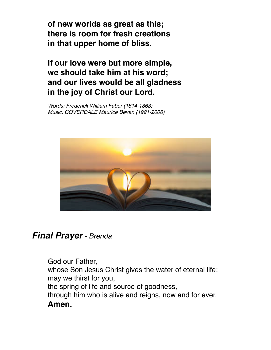**of new worlds as great as this; there is room for fresh creations in that upper home of bliss.**

**If our love were but more simple, we should take him at his word; and our lives would be all gladness in the joy of Christ our Lord.** 

*Words: Frederick William Faber (1814-1863) Music: COVERDALE Maurice Bevan (1921-2006)* 



#### *Final Prayer - Brenda*

God our Father, whose Son Jesus Christ gives the water of eternal life: may we thirst for you, the spring of life and source of goodness, through him who is alive and reigns, now and for ever. **Amen.**